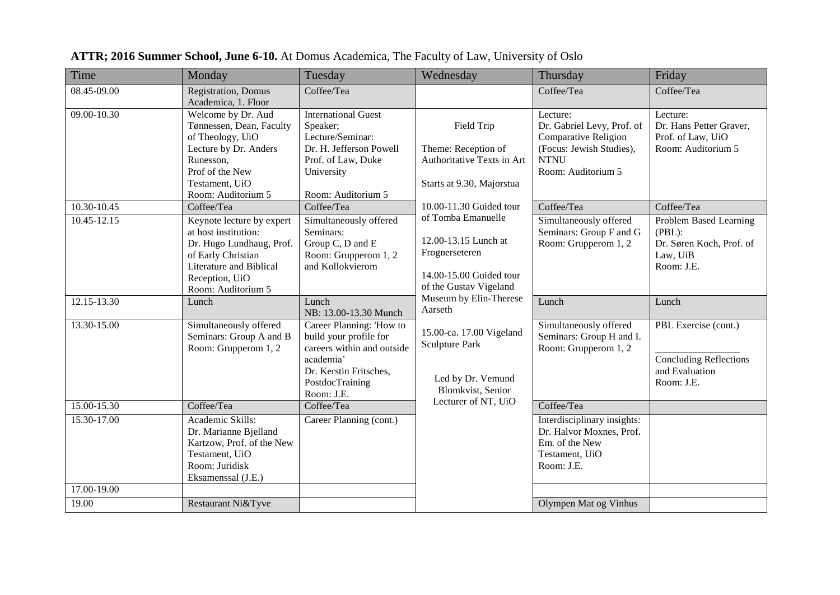| Time            | Monday                                                                                                                                                                 | Tuesday                                                                                                                                                  | Wednesday                                                                                                          | Thursday                                                                                                                        | Friday                                                                                 |
|-----------------|------------------------------------------------------------------------------------------------------------------------------------------------------------------------|----------------------------------------------------------------------------------------------------------------------------------------------------------|--------------------------------------------------------------------------------------------------------------------|---------------------------------------------------------------------------------------------------------------------------------|----------------------------------------------------------------------------------------|
| 08.45-09.00     | Registration, Domus<br>Academica, 1. Floor                                                                                                                             | Coffee/Tea                                                                                                                                               |                                                                                                                    | Coffee/Tea                                                                                                                      | Coffee/Tea                                                                             |
| 09.00-10.30     | Welcome by Dr. Aud<br>Tønnessen, Dean, Faculty<br>of Theology, UiO<br>Lecture by Dr. Anders<br>Runesson,<br>Prof of the New<br>Testament, UiO<br>Room: Auditorium 5    | <b>International Guest</b><br>Speaker;<br>Lecture/Seminar:<br>Dr. H. Jefferson Powell<br>Prof. of Law, Duke<br>University<br>Room: Auditorium 5          | Field Trip<br>Theme: Reception of<br>Authoritative Texts in Art<br>Starts at 9.30, Majorstua                       | Lecture:<br>Dr. Gabriel Levy, Prof. of<br>Comparative Religion<br>(Focus: Jewish Studies),<br><b>NTNU</b><br>Room: Auditorium 5 | Lecture:<br>Dr. Hans Petter Graver,<br>Prof. of Law, UiO<br>Room: Auditorium 5         |
| $10.30 - 10.45$ | Coffee/Tea                                                                                                                                                             | Coffee/Tea                                                                                                                                               | 10.00-11.30 Guided tour                                                                                            | Coffee/Tea                                                                                                                      | Coffee/Tea                                                                             |
| 10.45-12.15     | Keynote lecture by expert<br>at host institution:<br>Dr. Hugo Lundhaug, Prof.<br>of Early Christian<br>Literature and Biblical<br>Reception, UiO<br>Room: Auditorium 5 | Simultaneously offered<br>Seminars:<br>Group C, D and E<br>Room: Grupperom 1, 2<br>and Kollokvierom                                                      | of Tomba Emanuelle<br>12.00-13.15 Lunch at<br>Frognerseteren<br>14.00-15.00 Guided tour<br>of the Gustav Vigeland  | Simultaneously offered<br>Seminars: Group F and G<br>Room: Grupperom 1, 2                                                       | Problem Based Learning<br>(PBL):<br>Dr. Søren Koch, Prof. of<br>Law, UiB<br>Room: J.E. |
| $12.15 - 13.30$ | Lunch                                                                                                                                                                  | Lunch<br>NB: 13.00-13.30 Munch                                                                                                                           | Museum by Elin-Therese<br>Aarseth                                                                                  | Lunch                                                                                                                           | Lunch                                                                                  |
| 13.30-15.00     | Simultaneously offered<br>Seminars: Group A and B<br>Room: Grupperom 1, 2                                                                                              | Career Planning: 'How to<br>build your profile for<br>careers within and outside<br>academia'<br>Dr. Kerstin Fritsches,<br>PostdocTraining<br>Room: J.E. | 15.00-ca. 17.00 Vigeland<br><b>Sculpture Park</b><br>Led by Dr. Vemund<br>Blomkvist, Senior<br>Lecturer of NT, UiO | Simultaneously offered<br>Seminars: Group H and I.<br>Room: Grupperom 1, 2                                                      | PBL Exercise (cont.)<br><b>Concluding Reflections</b><br>and Evaluation<br>Room: J.E.  |
| $15.00 - 15.30$ | Coffee/Tea                                                                                                                                                             | Coffee/Tea                                                                                                                                               |                                                                                                                    | Coffee/Tea                                                                                                                      |                                                                                        |
| 15.30-17.00     | Academic Skills:<br>Dr. Marianne Bjelland<br>Kartzow, Prof. of the New<br>Testament, UiO<br>Room: Juridisk<br>Eksamenssal (J.E.)                                       | Career Planning (cont.)                                                                                                                                  |                                                                                                                    | Interdisciplinary insights:<br>Dr. Halvor Moxnes, Prof.<br>Em. of the New<br>Testament, UiO<br>Room: J.E.                       |                                                                                        |
| 17.00-19.00     |                                                                                                                                                                        |                                                                                                                                                          |                                                                                                                    |                                                                                                                                 |                                                                                        |
| 19.00           | Restaurant Ni&Tyve                                                                                                                                                     |                                                                                                                                                          |                                                                                                                    | Olympen Mat og Vinhus                                                                                                           |                                                                                        |

**ATTR; 2016 Summer School, June 6-10.** At Domus Academica, The Faculty of Law, University of Oslo